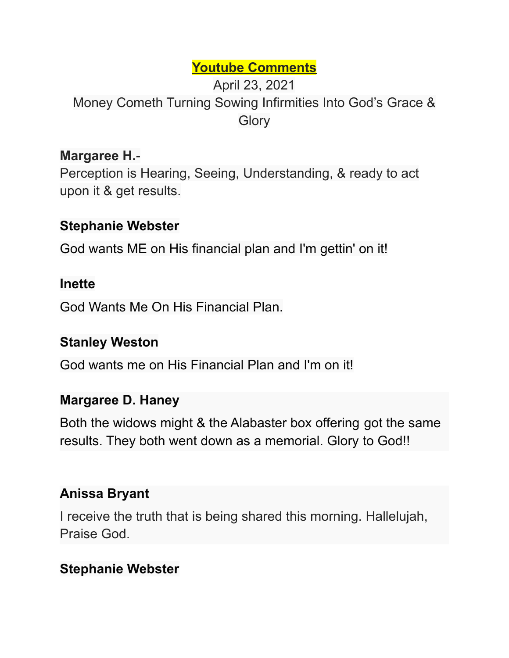## **Youtube Comments**

## April 23, 2021 Money Cometh Turning Sowing Infirmities Into God's Grace & **Glory**

## **Margaree H.**-

Perception is Hearing, Seeing, Understanding, & ready to act upon it & get results.

#### **Stephanie Webster**

God wants ME on His financial plan and I'm gettin' on it!

#### **Inette**

God Wants Me On His Financial Plan.

#### **Stanley Weston**

God wants me on His Financial Plan and I'm on it!

#### **Margaree D. Haney**

Both the widows might & the Alabaster box offering got the same results. They both went down as a memorial. Glory to God!!

#### **Anissa Bryant**

I receive the truth that is being shared this morning. Hallelujah, Praise God.

#### **Stephanie Webster**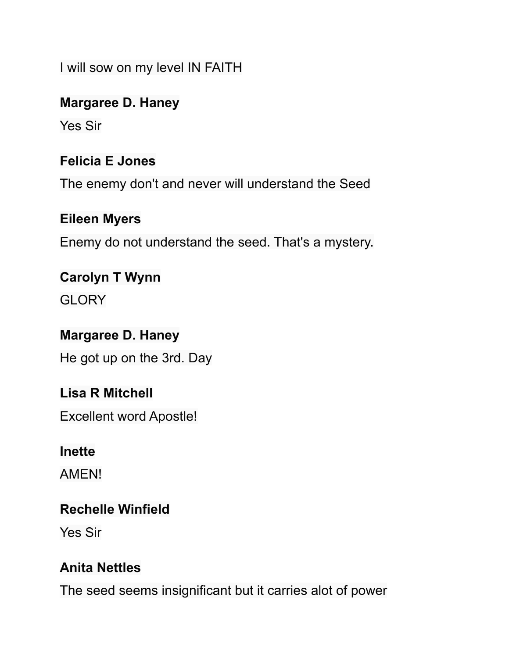I will sow on my level IN FAITH

#### **Margaree D. Haney**

Yes Sir

### **Felicia E Jones**

The enemy don't and never will understand the Seed

#### **Eileen Myers**

Enemy do not understand the seed. That's a mystery.

# **Carolyn T Wynn**

**GLORY** 

#### **Margaree D. Haney**

He got up on the 3rd. Day

#### **Lisa R Mitchell**

Excellent word Apostle!

#### **Inette**

AMEN!

### **Rechelle Winfield**

Yes Sir

#### **Anita Nettles**

The seed seems insignificant but it carries alot of power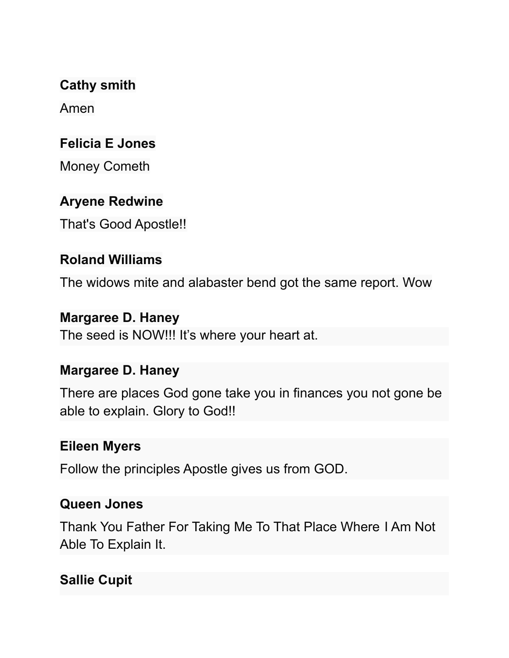**Cathy smith**

Amen

## **Felicia E Jones**

Money Cometh

## **Aryene Redwine**

That's Good Apostle!!

### **Roland Williams**

The widows mite and alabaster bend got the same report. Wow

### **Margaree D. Haney**

The seed is NOW!!! It's where your heart at.

### **Margaree D. Haney**

There are places God gone take you in finances you not gone be able to explain. Glory to God!!

### **Eileen Myers**

Follow the principles Apostle gives us from GOD.

### **Queen Jones**

Thank You Father For Taking Me To That Place Where I Am Not Able To Explain It.

## **Sallie Cupit**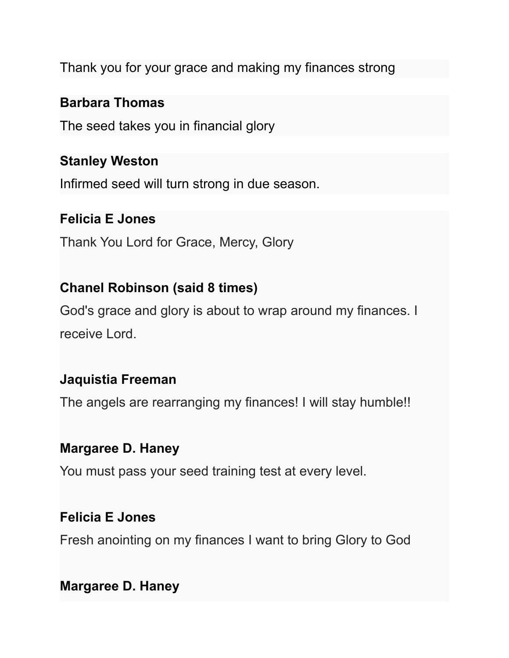Thank you for your grace and making my finances strong

#### **Barbara Thomas**

The seed takes you in financial glory

#### **Stanley Weston**

Infirmed seed will turn strong in due season.

#### **Felicia E Jones**

Thank You Lord for Grace, Mercy, Glory

## **Chanel Robinson (said 8 times)**

God's grace and glory is about to wrap around my finances. I receive Lord.

### **Jaquistia Freeman**

The angels are rearranging my finances! I will stay humble!!

#### **Margaree D. Haney**

You must pass your seed training test at every level.

#### **Felicia E Jones**

Fresh anointing on my finances I want to bring Glory to God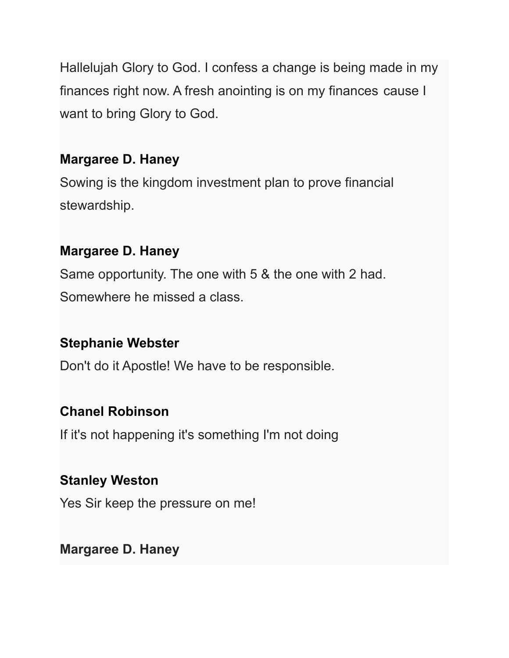Hallelujah Glory to God. I confess a change is being made in my finances right now. A fresh anointing is on my finances cause I want to bring Glory to God.

### **Margaree D. Haney**

Sowing is the kingdom investment plan to prove financial stewardship.

## **Margaree D. Haney**

Same opportunity. The one with 5 & the one with 2 had. Somewhere he missed a class.

## **Stephanie Webster**

Don't do it Apostle! We have to be responsible.

# **Chanel Robinson**

If it's not happening it's something I'm not doing

## **Stanley Weston**

Yes Sir keep the pressure on me!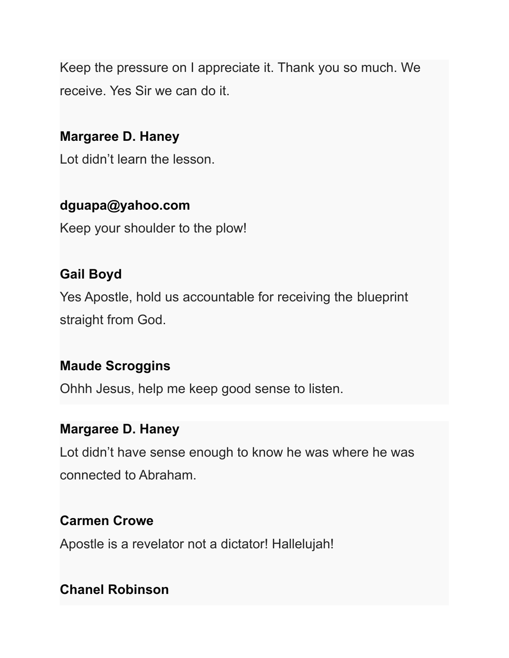Keep the pressure on I appreciate it. Thank you so much. We receive. Yes Sir we can do it.

## **Margaree D. Haney**

Lot didn't learn the lesson.

## **dguapa@yahoo.com**

Keep your shoulder to the plow!

## **Gail Boyd**

Yes Apostle, hold us accountable for receiving the blueprint straight from God.

## **Maude Scroggins**

Ohhh Jesus, help me keep good sense to listen.

## **Margaree D. Haney**

Lot didn't have sense enough to know he was where he was connected to Abraham.

## **Carmen Crowe**

Apostle is a revelator not a dictator! Hallelujah!

## **Chanel Robinson**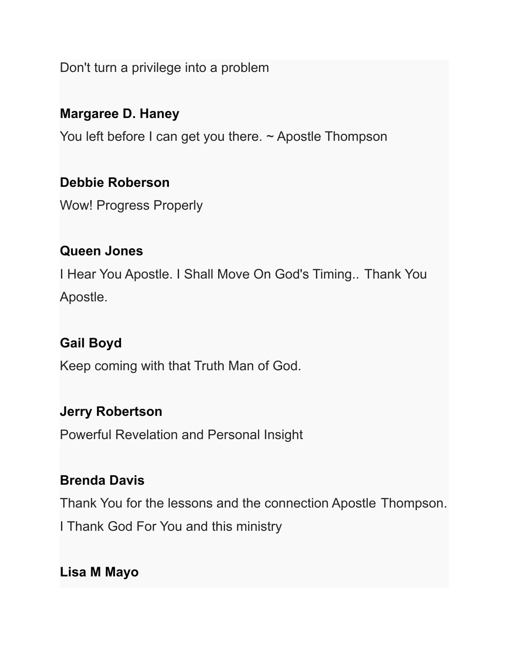Don't turn a privilege into a problem

### **Margaree D. Haney**

You left before I can get you there. ~ Apostle Thompson

#### **Debbie Roberson**

Wow! Progress Properly

#### **Queen Jones**

I Hear You Apostle. I Shall Move On God's Timing.. Thank You Apostle.

### **Gail Boyd**

Keep coming with that Truth Man of God.

#### **Jerry Robertson**

Powerful Revelation and Personal Insight

### **Brenda Davis**

Thank You for the lessons and the connection Apostle Thompson.

I Thank God For You and this ministry

**Lisa M Mayo**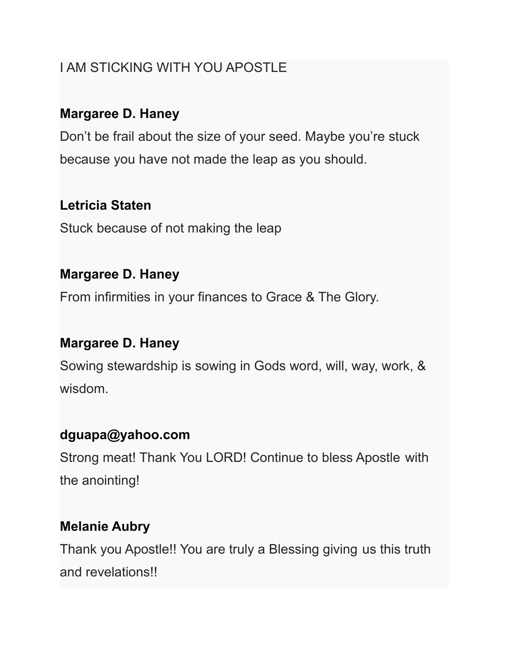# I AM STICKING WITH YOU APOSTLE

## **Margaree D. Haney**

Don't be frail about the size of your seed. Maybe you're stuck because you have not made the leap as you should.

# **Letricia Staten**

Stuck because of not making the leap

## **Margaree D. Haney**

From infirmities in your finances to Grace & The Glory.

## **Margaree D. Haney**

Sowing stewardship is sowing in Gods word, will, way, work, & wisdom.

# **dguapa@yahoo.com**

Strong meat! Thank You LORD! Continue to bless Apostle with the anointing!

# **Melanie Aubry**

Thank you Apostle!! You are truly a Blessing giving us this truth and revelations!!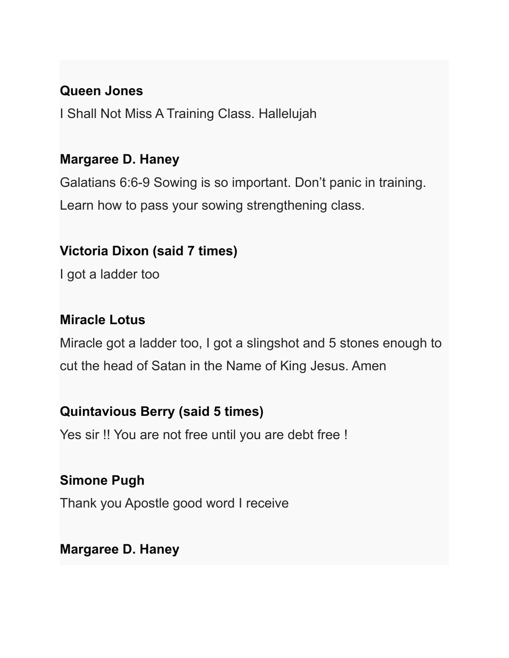#### **Queen Jones**

I Shall Not Miss A Training Class. Hallelujah

### **Margaree D. Haney**

Galatians 6:6-9 Sowing is so important. Don't panic in training. Learn how to pass your sowing strengthening class.

## **Victoria Dixon (said 7 times)**

I got a ladder too

## **Miracle Lotus**

Miracle got a ladder too, I got a slingshot and 5 stones enough to cut the head of Satan in the Name of King Jesus. Amen

### **Quintavious Berry (said 5 times)**

Yes sir !! You are not free until you are debt free !

# **Simone Pugh**

Thank you Apostle good word I receive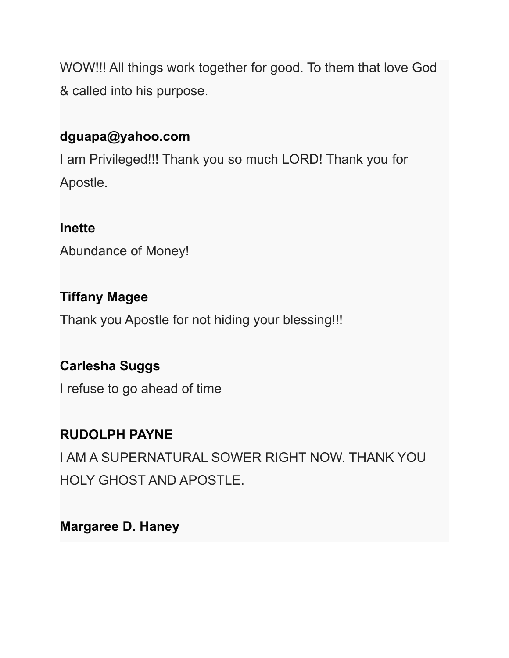WOW!!! All things work together for good. To them that love God & called into his purpose.

## **dguapa@yahoo.com**

I am Privileged!!! Thank you so much LORD! Thank you for Apostle.

#### **Inette**

Abundance of Money!

## **Tiffany Magee**

Thank you Apostle for not hiding your blessing!!!

## **Carlesha Suggs**

I refuse to go ahead of time

# **RUDOLPH PAYNE**

I AM A SUPERNATURAL SOWER RIGHT NOW. THANK YOU HOLY GHOST AND APOSTLE.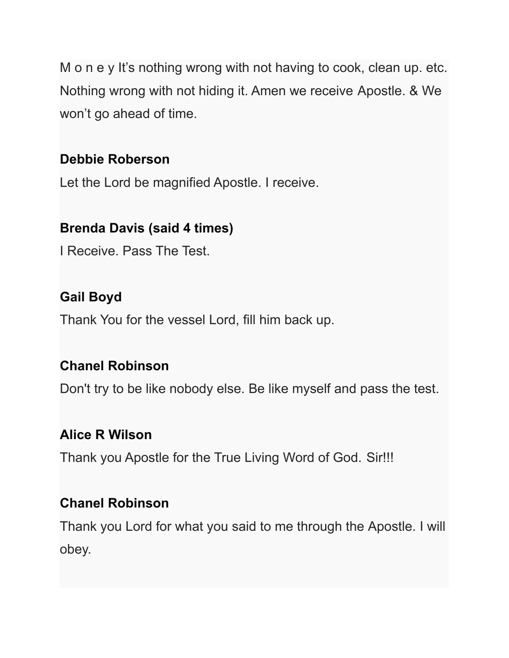M o n e y It's nothing wrong with not having to cook, clean up. etc. Nothing wrong with not hiding it. Amen we receive Apostle. & We won't go ahead of time.

## **Debbie Roberson**

Let the Lord be magnified Apostle. I receive.

## **Brenda Davis (said 4 times)**

I Receive. Pass The Test.

## **Gail Boyd**

Thank You for the vessel Lord, fill him back up.

### **Chanel Robinson**

Don't try to be like nobody else. Be like myself and pass the test.

### **Alice R Wilson**

Thank you Apostle for the True Living Word of God. Sir!!!

### **Chanel Robinson**

Thank you Lord for what you said to me through the Apostle. I will obey.